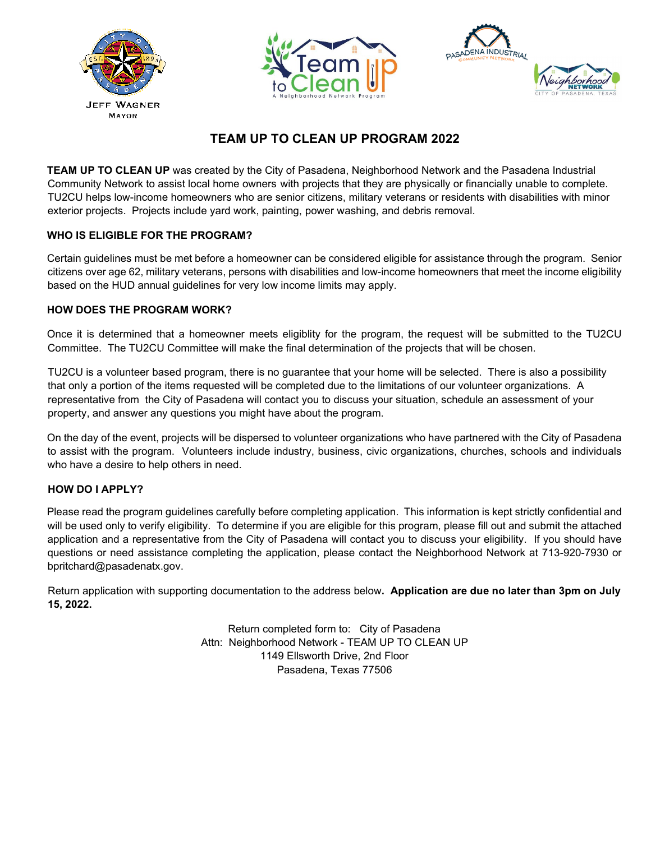





# **TEAM UP TO CLEAN UP PROGRAM 2022**

**TEAM UP TO CLEAN UP** was created by the City of Pasadena, Neighborhood Network and the Pasadena Industrial Community Network to assist local home owners with projects that they are physically or financially unable to complete. TU2CU helps low-income homeowners who are senior citizens, military veterans or residents with disabilities with minor exterior projects. Projects include yard work, painting, power washing, and debris removal.

### **WHO IS ELIGIBLE FOR THE PROGRAM?**

Certain guidelines must be met before a homeowner can be considered eligible for assistance through the program. Senior citizens over age 62, military veterans, persons with disabilities and low-income homeowners that meet the income eligibility based on the HUD annual guidelines for very low income limits may apply.

#### **HOW DOES THE PROGRAM WORK?**

Once it is determined that a homeowner meets eligiblity for the program, the request will be submitted to the TU2CU Committee. The TU2CU Committee will make the final determination of the projects that will be chosen.

TU2CU is a volunteer based program, there is no guarantee that your home will be selected. There is also a possibility that only a portion of the items requested will be completed due to the limitations of our volunteer organizations. A representative from the City of Pasadena will contact you to discuss your situation, schedule an assessment of your property, and answer any questions you might have about the program.

On the day of the event, projects will be dispersed to volunteer organizations who have partnered with the City of Pasadena to assist with the program. Volunteers include industry, business, civic organizations, churches, schools and individuals who have a desire to help others in need.

#### **HOW DO I APPLY?**

Please read the program guidelines carefully before completing application. This information is kept strictly confidential and will be used only to verify eligibility. To determine if you are eligible for this program, please fill out and submit the attached application and a representative from the City of Pasadena will contact you to discuss your eligibility. If you should have questions or need assistance completing the application, please contact the Neighborhood Network at 713-920-7930 or bpritchard@pasadenatx.gov.

Return application with supporting documentation to the address below**. Application are due no later than 3pm on July 15, 2022.** 

> Return completed form to: City of Pasadena Attn: Neighborhood Network - TEAM UP TO CLEAN UP 1149 Ellsworth Drive, 2nd Floor Pasadena, Texas 77506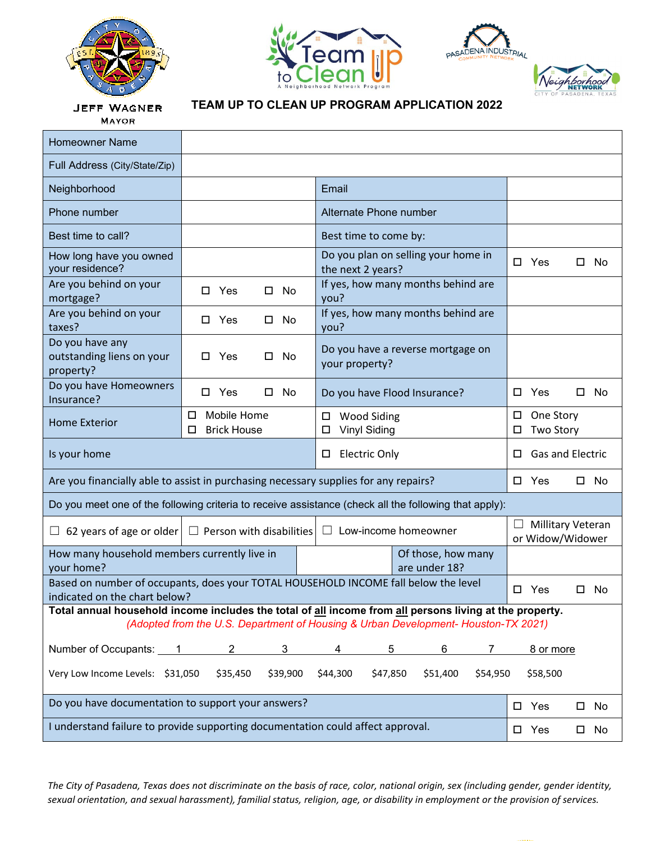







**JEFF WAGNER MAYOR** 

## **TEAM UP TO CLEAN UP PROGRAM APPLICATION 2022**

| <b>Homeowner Name</b>                                                                                                                                                                         |                                             |                                                          |                                              |  |  |
|-----------------------------------------------------------------------------------------------------------------------------------------------------------------------------------------------|---------------------------------------------|----------------------------------------------------------|----------------------------------------------|--|--|
| Full Address (City/State/Zip)                                                                                                                                                                 |                                             |                                                          |                                              |  |  |
| Neighborhood                                                                                                                                                                                  |                                             | Email                                                    |                                              |  |  |
| Phone number                                                                                                                                                                                  |                                             | Alternate Phone number                                   |                                              |  |  |
| Best time to call?                                                                                                                                                                            |                                             | Best time to come by:                                    |                                              |  |  |
| How long have you owned<br>your residence?                                                                                                                                                    |                                             | Do you plan on selling your home in<br>the next 2 years? | $\square$ Yes<br>□<br>No                     |  |  |
| Are you behind on your<br>mortgage?                                                                                                                                                           | Yes<br>No<br>□<br>О.                        | If yes, how many months behind are<br>you?               |                                              |  |  |
| Are you behind on your<br>taxes?                                                                                                                                                              | □ Yes<br>No<br>◻                            | If yes, how many months behind are<br>you?               |                                              |  |  |
| Do you have any<br>outstanding liens on your<br>property?                                                                                                                                     | □ Yes<br>No                                 | Do you have a reverse mortgage on<br>your property?      |                                              |  |  |
| Do you have Homeowners<br>Insurance?                                                                                                                                                          | □ Yes<br>No<br>□                            | Do you have Flood Insurance?                             | Yes<br>No<br>□                               |  |  |
| <b>Home Exterior</b>                                                                                                                                                                          | Mobile Home<br>□<br><b>Brick House</b><br>□ | $\square$ Wood Siding<br><b>Vinyl Siding</b><br>□.       | One Story<br>□<br><b>Two Story</b><br>◻      |  |  |
| Is your home<br><b>Electric Only</b><br>□                                                                                                                                                     |                                             | Gas and Electric<br>◻                                    |                                              |  |  |
| Are you financially able to assist in purchasing necessary supplies for any repairs?                                                                                                          |                                             |                                                          | $\Box$ Yes<br>$\square$ No                   |  |  |
| Do you meet one of the following criteria to receive assistance (check all the following that apply):                                                                                         |                                             |                                                          |                                              |  |  |
| 62 years of age or older<br>⊔                                                                                                                                                                 | $\Box$ Person with disabilities             | Low-income homeowner<br>ப                                | <b>Millitary Veteran</b><br>or Widow/Widower |  |  |
| How many household members currently live in<br>Of those, how many<br>your home?<br>are under 18?                                                                                             |                                             |                                                          |                                              |  |  |
| Based on number of occupants, does your TOTAL HOUSEHOLD INCOME fall below the level<br>indicated on the chart below?                                                                          | $\Box$ Yes<br>No<br>□                       |                                                          |                                              |  |  |
| Total annual household income includes the total of all income from all persons living at the property.<br>(Adopted from the U.S. Department of Housing & Urban Development- Houston-TX 2021) |                                             |                                                          |                                              |  |  |
|                                                                                                                                                                                               |                                             |                                                          |                                              |  |  |
| Number of Occupants: 1                                                                                                                                                                        | $2^{\circ}$<br>3                            | 6<br>4<br>5<br>7                                         | 8 or more                                    |  |  |
| Very Low Income Levels: \$31,050<br>\$39,900<br>\$47,850<br>\$51,400<br>\$58,500<br>\$35,450<br>\$44,300<br>\$54,950                                                                          |                                             |                                                          |                                              |  |  |
| Do you have documentation to support your answers?                                                                                                                                            | $\square$ Yes<br>No<br>$\Box$               |                                                          |                                              |  |  |
| I understand failure to provide supporting documentation could affect approval.                                                                                                               | $\square$ Yes<br>No                         |                                                          |                                              |  |  |

The City of Pasadena, Texas does not discriminate on the basis of race, color, national origin, sex (including gender, gender identity, sexual orientation, and sexual harassment), familial status, religion, age, or disability in employment or the provision of services.